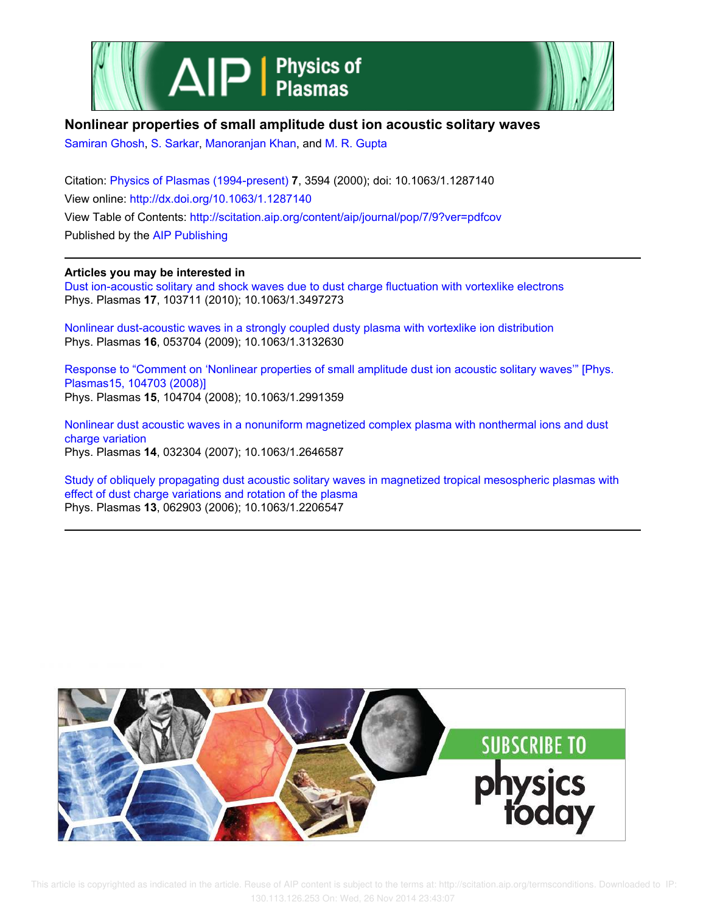



## **Nonlinear properties of small amplitude dust ion acoustic solitary waves**

Samiran Ghosh, S. Sarkar, Manoranjan Khan, and M. R. Gupta

Citation: Physics of Plasmas (1994-present) **7**, 3594 (2000); doi: 10.1063/1.1287140 View online: http://dx.doi.org/10.1063/1.1287140 View Table of Contents: http://scitation.aip.org/content/aip/journal/pop/7/9?ver=pdfcov Published by the AIP Publishing

## **Articles you may be interested in**

Dust ion-acoustic solitary and shock waves due to dust charge fluctuation with vortexlike electrons Phys. Plasmas **17**, 103711 (2010); 10.1063/1.3497273

Nonlinear dust-acoustic waves in a strongly coupled dusty plasma with vortexlike ion distribution Phys. Plasmas **16**, 053704 (2009); 10.1063/1.3132630

Response to "Comment on 'Nonlinear properties of small amplitude dust ion acoustic solitary waves'" [Phys. Plasmas15, 104703 (2008)] Phys. Plasmas **15**, 104704 (2008); 10.1063/1.2991359

Nonlinear dust acoustic waves in a nonuniform magnetized complex plasma with nonthermal ions and dust charge variation Phys. Plasmas **14**, 032304 (2007); 10.1063/1.2646587

Study of obliquely propagating dust acoustic solitary waves in magnetized tropical mesospheric plasmas with effect of dust charge variations and rotation of the plasma Phys. Plasmas **13**, 062903 (2006); 10.1063/1.2206547

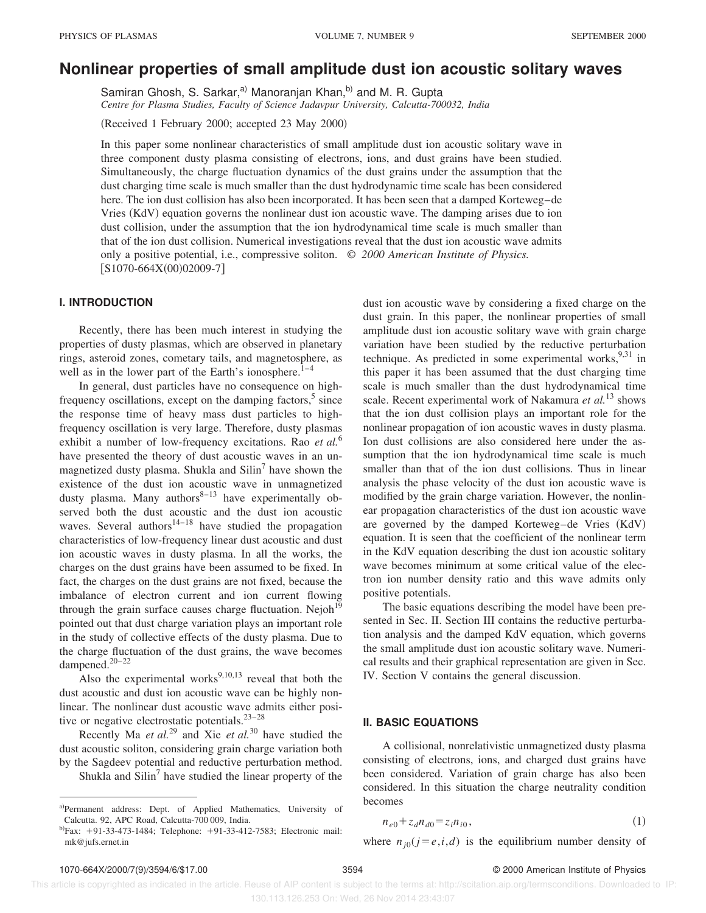# **Nonlinear properties of small amplitude dust ion acoustic solitary waves**

Samiran Ghosh, S. Sarkar,<sup>a)</sup> Manoranjan Khan,<sup>b)</sup> and M. R. Gupta *Centre for Plasma Studies, Faculty of Science Jadavpur University, Calcutta-700032, India*

 $(Received 1 February 2000; accepted 23 May 2000)$ 

In this paper some nonlinear characteristics of small amplitude dust ion acoustic solitary wave in three component dusty plasma consisting of electrons, ions, and dust grains have been studied. Simultaneously, the charge fluctuation dynamics of the dust grains under the assumption that the dust charging time scale is much smaller than the dust hydrodynamic time scale has been considered here. The ion dust collision has also been incorporated. It has been seen that a damped Korteweg–de Vries (KdV) equation governs the nonlinear dust ion acoustic wave. The damping arises due to ion dust collision, under the assumption that the ion hydrodynamical time scale is much smaller than that of the ion dust collision. Numerical investigations reveal that the dust ion acoustic wave admits only a positive potential, i.e., compressive soliton. © *2000 American Institute of Physics.*  $[S1070-664X(00)02009-7]$ 

#### **I. INTRODUCTION**

Recently, there has been much interest in studying the properties of dusty plasmas, which are observed in planetary rings, asteroid zones, cometary tails, and magnetosphere, as well as in the lower part of the Earth's ionosphere. $1-4$ 

In general, dust particles have no consequence on highfrequency oscillations, except on the damping factors,<sup>5</sup> since the response time of heavy mass dust particles to highfrequency oscillation is very large. Therefore, dusty plasmas exhibit a number of low-frequency excitations. Rao *et al.*<sup>6</sup> have presented the theory of dust acoustic waves in an unmagnetized dusty plasma. Shukla and Silin<sup>7</sup> have shown the existence of the dust ion acoustic wave in unmagnetized dusty plasma. Many authors $8-13$  have experimentally observed both the dust acoustic and the dust ion acoustic waves. Several authors<sup>14–18</sup> have studied the propagation characteristics of low-frequency linear dust acoustic and dust ion acoustic waves in dusty plasma. In all the works, the charges on the dust grains have been assumed to be fixed. In fact, the charges on the dust grains are not fixed, because the imbalance of electron current and ion current flowing through the grain surface causes charge fluctuation. Nejoh<sup>19</sup> pointed out that dust charge variation plays an important role in the study of collective effects of the dusty plasma. Due to the charge fluctuation of the dust grains, the wave becomes dampened.20–22

Also the experimental works $9,10,13$  reveal that both the dust acoustic and dust ion acoustic wave can be highly nonlinear. The nonlinear dust acoustic wave admits either positive or negative electrostatic potentials. $23-28$ 

Recently Ma *et al.*<sup>29</sup> and Xie *et al.*<sup>30</sup> have studied the dust acoustic soliton, considering grain charge variation both by the Sagdeev potential and reductive perturbation method.

Shukla and Silin<sup>7</sup> have studied the linear property of the

dust ion acoustic wave by considering a fixed charge on the dust grain. In this paper, the nonlinear properties of small amplitude dust ion acoustic solitary wave with grain charge variation have been studied by the reductive perturbation technique. As predicted in some experimental works,  $9,31$  in this paper it has been assumed that the dust charging time scale is much smaller than the dust hydrodynamical time scale. Recent experimental work of Nakamura *et al.*<sup>13</sup> shows that the ion dust collision plays an important role for the nonlinear propagation of ion acoustic waves in dusty plasma. Ion dust collisions are also considered here under the assumption that the ion hydrodynamical time scale is much smaller than that of the ion dust collisions. Thus in linear analysis the phase velocity of the dust ion acoustic wave is modified by the grain charge variation. However, the nonlinear propagation characteristics of the dust ion acoustic wave are governed by the damped Korteweg–de Vries (KdV) equation. It is seen that the coefficient of the nonlinear term in the KdV equation describing the dust ion acoustic solitary wave becomes minimum at some critical value of the electron ion number density ratio and this wave admits only positive potentials.

The basic equations describing the model have been presented in Sec. II. Section III contains the reductive perturbation analysis and the damped KdV equation, which governs the small amplitude dust ion acoustic solitary wave. Numerical results and their graphical representation are given in Sec. IV. Section V contains the general discussion.

#### **II. BASIC EQUATIONS**

A collisional, nonrelativistic unmagnetized dusty plasma consisting of electrons, ions, and charged dust grains have been considered. Variation of grain charge has also been considered. In this situation the charge neutrality condition becomes

$$
n_{e0} + z_d n_{d0} = z_i n_{i0},\tag{1}
$$

where  $n_{j0}(j = e, i, d)$  is the equilibrium number density of

a)Permanent address: Dept. of Applied Mathematics, University of Calcutta. 92, APC Road, Calcutta-700 009, India.

 $b$ Fax: +91-33-473-1484; Telephone: +91-33-412-7583; Electronic mail: mk@jufs.ernet.in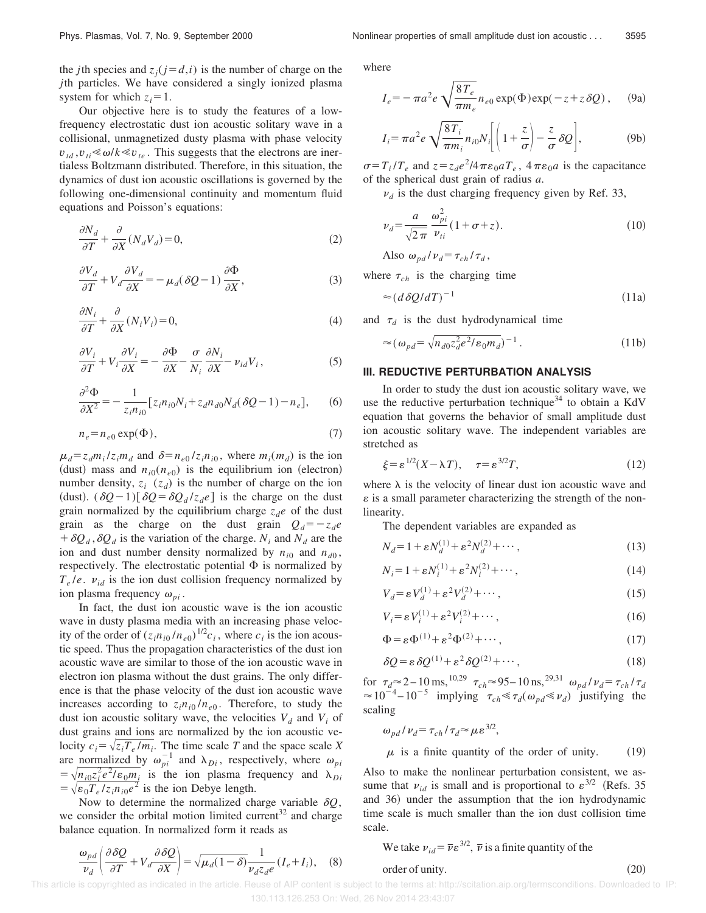Our objective here is to study the features of a lowfrequency electrostatic dust ion acoustic solitary wave in a collisional, unmagnetized dusty plasma with phase velocity  $v_{td}$ ,  $v_{ti} \ll \omega / k \ll v_{te}$ . This suggests that the electrons are inertialess Boltzmann distributed. Therefore, in this situation, the dynamics of dust ion acoustic oscillations is governed by the following one-dimensional continuity and momentum fluid equations and Poisson's equations:

$$
\frac{\partial N_d}{\partial T} + \frac{\partial}{\partial X} (N_d V_d) = 0,
$$
\n(2)

$$
\frac{\partial V_d}{\partial T} + V_d \frac{\partial V_d}{\partial X} = -\mu_d (\delta Q - 1) \frac{\partial \Phi}{\partial X},\tag{3}
$$

$$
\frac{\partial N_i}{\partial T} + \frac{\partial}{\partial X}(N_i V_i) = 0,\tag{4}
$$

$$
\frac{\partial V_i}{\partial T} + V_i \frac{\partial V_i}{\partial X} = -\frac{\partial \Phi}{\partial X} - \frac{\sigma}{N_i} \frac{\partial N_i}{\partial X} - \nu_{id} V_i, \tag{5}
$$

$$
\frac{\partial^2 \Phi}{\partial X^2} = -\frac{1}{z_i n_{i0}} \left[ z_i n_{i0} N_i + z_d n_{d0} N_d (\delta Q - 1) - n_e \right],\tag{6}
$$

$$
n_e = n_{e0} \exp(\Phi),\tag{7}
$$

 $\mu_d = z_d m_i / z_i m_d$  and  $\delta = n_{e0} / z_i n_{i0}$ , where  $m_i (m_d)$  is the ion (dust) mass and  $n_{i0}(n_{e0})$  is the equilibrium ion (electron) number density,  $z_i$  ( $z_d$ ) is the number of charge on the ion (dust).  $(\delta Q - 1)[\delta Q = \delta Q_d / z_d e]$  is the charge on the dust grain normalized by the equilibrium charge  $z_d e$  of the dust grain as the charge on the dust grain  $Q_d = -z_d e$  $+ \delta Q_d$ ,  $\delta Q_d$  is the variation of the charge.  $N_i$  and  $N_d$  are the ion and dust number density normalized by  $n_{i0}$  and  $n_{d0}$ , respectively. The electrostatic potential  $\Phi$  is normalized by  $T_e/e$ .  $v_{id}$  is the ion dust collision frequency normalized by ion plasma frequency  $\omega_{pi}$ .

In fact, the dust ion acoustic wave is the ion acoustic wave in dusty plasma media with an increasing phase velocity of the order of  $(z_i n_{i0}/n_{e0})^{1/2}c_i$ , where  $c_i$  is the ion acoustic speed. Thus the propagation characteristics of the dust ion acoustic wave are similar to those of the ion acoustic wave in electron ion plasma without the dust grains. The only difference is that the phase velocity of the dust ion acoustic wave increases according to  $z_i n_{i0} / n_{e0}$ . Therefore, to study the dust ion acoustic solitary wave, the velocities  $V_d$  and  $V_i$  of dust grains and ions are normalized by the ion acoustic velocity  $c_i = \sqrt{z_i T_e / m_i}$ . The time scale *T* and the space scale *X* are normalized by  $\omega_{pi}^{-1}$  and  $\lambda_{Di}$ , respectively, where  $\omega_{pi}$  $=\sqrt{n_{i0}z_i^2e^2/\epsilon_0m_i}$  is the ion plasma frequency and  $\lambda_{Di}$  $=\sqrt{\epsilon_0 T_e/z_i n_{i0}e^2}$  is the ion Debye length.

Now to determine the normalized charge variable  $\delta Q$ , we consider the orbital motion limited current $32$  and charge balance equation. In normalized form it reads as

$$
\frac{\omega_{pd}}{\nu_d} \left( \frac{\partial \delta Q}{\partial T} + V_d \frac{\partial \delta Q}{\partial X} \right) = \sqrt{\mu_d (1 - \delta)} \frac{1}{\nu_d z_d e} (I_e + I_i), \quad (8)
$$

Phys. Plasmas, Vol. 7, No. 9, September 2000 Nonlinear properties of small amplitude dust ion acoustic... 3595

where

$$
I_e = -\pi a^2 e \sqrt{\frac{8T_e}{\pi m_e}} n_{e0} \exp(\Phi) \exp(-z + z \delta Q), \quad (9a)
$$

$$
I_i = \pi a^2 e \sqrt{\frac{8T_i}{\pi m_i}} n_{i0} N_i \left[ \left( 1 + \frac{z}{\sigma} \right) - \frac{z}{\sigma} \delta Q \right],
$$
 (9b)

 $\sigma = T_i/T_e$  and  $z = z_d e^2/4\pi \epsilon_0 a T_e$ ,  $4\pi \epsilon_0 a$  is the capacitance of the spherical dust grain of radius *a*.

 $v_d$  is the dust charging frequency given by Ref. 33,

$$
\nu_d = \frac{a}{\sqrt{2\pi}} \frac{\omega_{pi}^2}{\nu_{ti}} (1 + \sigma + z). \tag{10}
$$

Also  $\omega_{pd}/\nu_d = \tau_{ch}/\tau_d$ ,

where  $\tau_{ch}$  is the charging time

$$
\approx (d\,\delta Q/dT)^{-1} \tag{11a}
$$

and  $\tau_d$  is the dust hydrodynamical time

$$
\approx (\omega_{pd} = \sqrt{n_{d0} z_d^2 e^2 / \epsilon_0 m_d})^{-1}.
$$
\n(11b)

#### **III. REDUCTIVE PERTURBATION ANALYSIS**

In order to study the dust ion acoustic solitary wave, we use the reductive perturbation technique<sup>34</sup> to obtain a KdV equation that governs the behavior of small amplitude dust ion acoustic solitary wave. The independent variables are stretched as

$$
\xi = \varepsilon^{1/2} (X - \lambda T), \quad \tau = \varepsilon^{3/2} T,
$$
\n(12)

where  $\lambda$  is the velocity of linear dust ion acoustic wave and  $\varepsilon$  is a small parameter characterizing the strength of the nonlinearity.

The dependent variables are expanded as

$$
N_d = 1 + \varepsilon N_d^{(1)} + \varepsilon^2 N_d^{(2)} + \cdots, \tag{13}
$$

$$
N_i = 1 + \varepsilon N_i^{(1)} + \varepsilon^2 N_i^{(2)} + \cdots,\tag{14}
$$

$$
V_d = \varepsilon V_d^{(1)} + \varepsilon^2 V_d^{(2)} + \cdots,\tag{15}
$$

$$
V_i = \varepsilon V_i^{(1)} + \varepsilon^2 V_i^{(2)} + \cdots,\tag{16}
$$

$$
\Phi = \varepsilon \Phi^{(1)} + \varepsilon^2 \Phi^{(2)} + \cdots, \tag{17}
$$

$$
\delta Q = \varepsilon \, \delta Q^{(1)} + \varepsilon^2 \delta Q^{(2)} + \cdots,\tag{18}
$$

for  $\tau_d \approx 2 - 10 \text{ ms}$ ,  $^{10,29}$   $\tau_{ch} \approx 95 - 10 \text{ ns}$ ,  $^{29,31}$   $\omega_{pd}/\nu_d = \tau_{ch}/\tau_d$  $\approx 10^{-4} - 10^{-5}$  implying  $\tau_{ch} \ll \tau_d(\omega_{pd} \ll \nu_d)$  justifying the scaling

$$
\omega_{pd}/\nu_d = \tau_{ch}/\tau_d \approx \mu \epsilon^{3/2},
$$

 $\mu$  is a finite quantity of the order of unity. (19)

Also to make the nonlinear perturbation consistent, we assume that  $v_{id}$  is small and is proportional to  $\varepsilon^{3/2}$  (Refs. 35) and 36) under the assumption that the ion hydrodynamic time scale is much smaller than the ion dust collision time scale.

order of unity.  $(20)$ 

We take  $v_{id} = \overline{v} \varepsilon^{3/2}$ ,  $\overline{v}$  is a finite quantity of the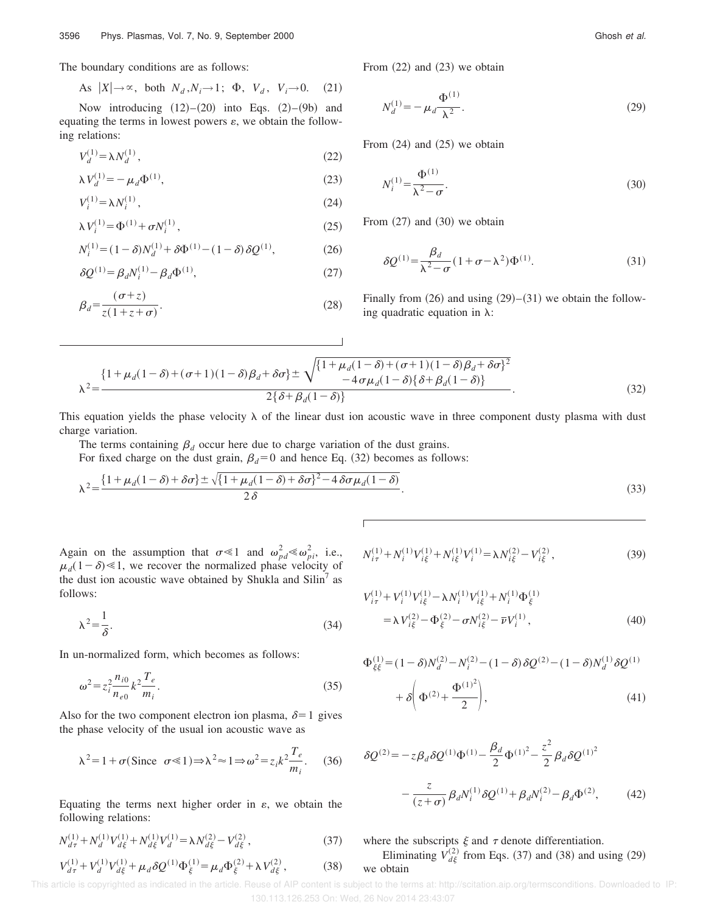The boundary conditions are as follows:

As 
$$
|X| \to \infty
$$
, both  $N_d, N_i \to 1$ ;  $\Phi$ ,  $V_d$ ,  $V_i \to 0$ . (21)

Now introducing  $(12)$ – $(20)$  into Eqs.  $(2)$ – $(9b)$  and equating the terms in lowest powers  $\varepsilon$ , we obtain the following relations:

$$
V_d^{(1)} = \lambda N_d^{(1)},\tag{22}
$$

$$
\lambda V_d^{(1)} = -\mu_d \Phi^{(1)},\tag{23}
$$

$$
V_i^{(1)} = \lambda N_i^{(1)},\tag{24}
$$

$$
\lambda V_i^{(1)} = \Phi^{(1)} + \sigma N_i^{(1)},\tag{25}
$$

$$
N_i^{(1)} = (1 - \delta)N_d^{(1)} + \delta \Phi^{(1)} - (1 - \delta) \delta Q^{(1)},
$$
 (26)

$$
\delta Q^{(1)} = \beta_d N_i^{(1)} - \beta_d \Phi^{(1)},\tag{27}
$$

$$
\beta_d = \frac{(\sigma + z)}{z(1 + z + \sigma)}.
$$
\n(28)

From  $(22)$  and  $(23)$  we obtain

$$
N_d^{(1)} = -\mu_d \frac{\Phi^{(1)}}{\lambda^2}.
$$
 (29)

From  $(24)$  and  $(25)$  we obtain

$$
N_i^{(1)} = \frac{\Phi^{(1)}}{\lambda^2 - \sigma}.
$$
\n
$$
(30)
$$

From  $(27)$  and  $(30)$  we obtain

$$
\delta \mathcal{Q}^{(1)} = \frac{\beta_d}{\lambda^2 - \sigma} (1 + \sigma - \lambda^2) \Phi^{(1)}.
$$
 (31)

Finally from  $(26)$  and using  $(29)$ – $(31)$  we obtain the following quadratic equation in  $\lambda$ :

$$
\lambda^{2} = \frac{\left\{1+\mu_{d}(1-\delta)+(\sigma+1)(1-\delta)\beta_{d}+\delta\sigma\right\} \pm \sqrt{\left\{1+\mu_{d}(1-\delta)+(\sigma+1)(1-\delta)\beta_{d}+\delta\sigma\right\}^{2}}{-4\sigma\mu_{d}(1-\delta)\left\{\delta+\beta_{d}(1-\delta)\right\}}}{2\left\{\delta+\beta_{d}(1-\delta)\right\}}.
$$
\n(32)

This equation yields the phase velocity  $\lambda$  of the linear dust ion acoustic wave in three component dusty plasma with dust charge variation.

The terms containing  $\beta_d$  occur here due to charge variation of the dust grains. For fixed charge on the dust grain,  $\beta_d=0$  and hence Eq. (32) becomes as follows:

$$
\lambda^2 = \frac{\left\{1 + \mu_d(1 - \delta) + \delta\sigma\right\} \pm \sqrt{\left\{1 + \mu_d(1 - \delta) + \delta\sigma\right\}^2 - 4\delta\sigma\mu_d(1 - \delta)}}{2\delta}.
$$
\n(33)

Again on the assumption that  $\sigma \ll 1$  and  $\omega_{pd}^2 \ll \omega_{pi}^2$ , i.e.,  $\mu_d(1-\delta) \ll 1$ , we recover the normalized phase velocity of the dust ion acoustic wave obtained by Shukla and  $\text{Silin}^7$  as follows:

$$
\lambda^2 = \frac{1}{\delta}.\tag{34}
$$

In un-normalized form, which becomes as follows:

$$
\omega^2 = z_i^2 \frac{n_{i0}}{n_{e0}} k^2 \frac{T_e}{m_i}.
$$
\n(35)

Also for the two component electron ion plasma,  $\delta=1$  gives the phase velocity of the usual ion acoustic wave as

$$
\lambda^2 = 1 + \sigma(\text{Since } \sigma \ll 1) \Longrightarrow \lambda^2 \approx 1 \Longrightarrow \omega^2 = z_i k^2 \frac{T_e}{m_i}.
$$
 (36)

Equating the terms next higher order in  $\varepsilon$ , we obtain the following relations:

$$
N_{d\tau}^{(1)} + N_d^{(1)} V_{d\xi}^{(1)} + N_{d\xi}^{(1)} V_d^{(1)} = \lambda N_{d\xi}^{(2)} - V_{d\xi}^{(2)} ,\qquad (37)
$$

$$
V_{d\tau}^{(1)} + V_{d}^{(1)}V_{d\xi}^{(1)} + \mu_{d}\delta Q^{(1)}\Phi_{\xi}^{(1)} = \mu_{d}\Phi_{\xi}^{(2)} + \lambda V_{d\xi}^{(2)},
$$
 (38)

$$
N_{i\tau}^{(1)} + N_i^{(1)} V_{i\xi}^{(1)} + N_{i\xi}^{(1)} V_i^{(1)} = \lambda N_{i\xi}^{(2)} - V_{i\xi}^{(2)},
$$
\n(39)

$$
V_{i\tau}^{(1)} + V_i^{(1)} V_{i\xi}^{(1)} - \lambda N_i^{(1)} V_{i\xi}^{(1)} + N_i^{(1)} \Phi_{\xi}^{(1)}
$$
  
=  $\lambda V_{i\xi}^{(2)} - \Phi_{\xi}^{(2)} - \sigma N_{i\xi}^{(2)} - \overline{\nu} V_i^{(1)},$  (40)

$$
\Phi_{\xi\xi}^{(1)} = (1 - \delta)N_d^{(2)} - N_i^{(2)} - (1 - \delta)\delta Q^{(2)} - (1 - \delta)N_d^{(1)}\delta Q^{(1)} + \delta \left(\Phi^{(2)} + \frac{\Phi^{(1)^2}}{2}\right),
$$
\n(41)

$$
\delta Q^{(2)} = -z \beta_d \delta Q^{(1)} \Phi^{(1)} - \frac{\beta_d}{2} \Phi^{(1)^2} - \frac{z^2}{2} \beta_d \delta Q^{(1)^2}
$$

$$
- \frac{z}{(z+\sigma)} \beta_d N_i^{(1)} \delta Q^{(1)} + \beta_d N_i^{(2)} - \beta_d \Phi^{(2)}, \qquad (42)
$$

## where the subscripts  $\xi$  and  $\tau$  denote differentiation. Eliminating  $V_{d\xi}^{(2)}$  from Eqs. (37) and (38) and using (29) we obtain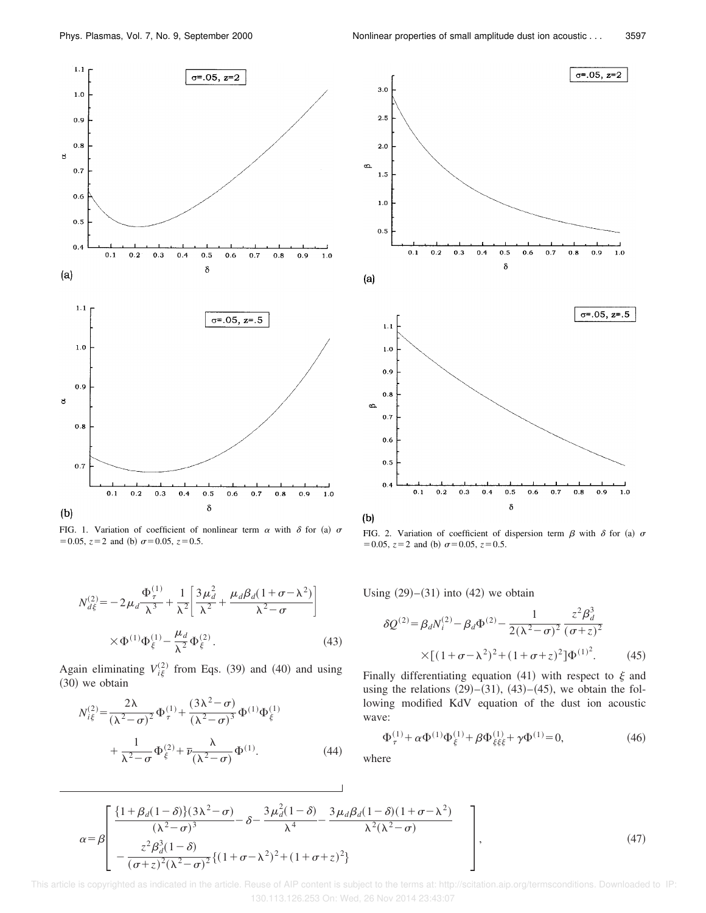

FIG. 1. Variation of coefficient of nonlinear term  $\alpha$  with  $\delta$  for (a)  $\sigma$  $=0.05, z=2$  and (b)  $\sigma=0.05, z=0.5$ .

$$
N_{d\xi}^{(2)} = -2\mu_d \frac{\Phi_{\tau}^{(1)}}{\lambda^3} + \frac{1}{\lambda^2} \left[ \frac{3\mu_d^2}{\lambda^2} + \frac{\mu_d \beta_d (1 + \sigma - \lambda^2)}{\lambda^2 - \sigma} \right]
$$
  
 
$$
\times \Phi^{(1)} \Phi_{\xi}^{(1)} - \frac{\mu_d}{\lambda^2} \Phi_{\xi}^{(2)}.
$$
 (43)

Again eliminating  $V_{i\xi}^{(2)}$  from Eqs. (39) and (40) and using  $(30)$  we obtain

$$
N_{i\xi}^{(2)} = \frac{2\lambda}{(\lambda^2 - \sigma)^2} \Phi_{\tau}^{(1)} + \frac{(3\lambda^2 - \sigma)}{(\lambda^2 - \sigma)^3} \Phi_{\tau}^{(1)} \Phi_{\xi}^{(1)}
$$
  
+ 
$$
\frac{1}{\lambda^2 - \sigma} \Phi_{\xi}^{(2)} + \overline{\nu} \frac{\lambda}{(\lambda^2 - \sigma)} \Phi_{\tau}^{(1)}.
$$
 (44)



FIG. 2. Variation of coefficient of dispersion term  $\beta$  with  $\delta$  for (a)  $\sigma$  $=0.05, z=2$  and (b)  $\sigma = 0.05, z=0.5$ .

Using  $(29)–(31)$  into  $(42)$  we obtain

$$
\delta Q^{(2)} = \beta_d N_i^{(2)} - \beta_d \Phi^{(2)} - \frac{1}{2(\lambda^2 - \sigma)^2} \frac{z^2 \beta_d^3}{(\sigma + z)^2}
$$
  
×[(1 + \sigma - \lambda^2)^2 + (1 + \sigma + z)^2]  $\Phi^{(1)^2}$ . (45)

Finally differentiating equation (41) with respect to  $\xi$  and using the relations  $(29)–(31)$ ,  $(43)–(45)$ , we obtain the following modified KdV equation of the dust ion acoustic wave:

$$
\Phi_{\tau}^{(1)} + \alpha \Phi_{\xi}^{(1)} \Phi_{\xi}^{(1)} + \beta \Phi_{\xi \xi \xi}^{(1)} + \gamma \Phi_{\xi}^{(1)} = 0, \tag{46}
$$

where

$$
\alpha = \beta \left[ \frac{\left\{1 + \beta_d (1 - \delta)\right\} (3\lambda^2 - \sigma)}{(\lambda^2 - \sigma)^3} - \delta - \frac{3\mu_d^2 (1 - \delta)}{\lambda^4} - \frac{3\mu_d \beta_d (1 - \delta)(1 + \sigma - \lambda^2)}{\lambda^2 (\lambda^2 - \sigma)} - \frac{z^2 \beta_d^3 (1 - \delta)}{(\sigma + z)^2 (\lambda^2 - \sigma)^2} \{ (1 + \sigma - \lambda^2)^2 + (1 + \sigma + z)^2 \} \right],
$$
\n(47)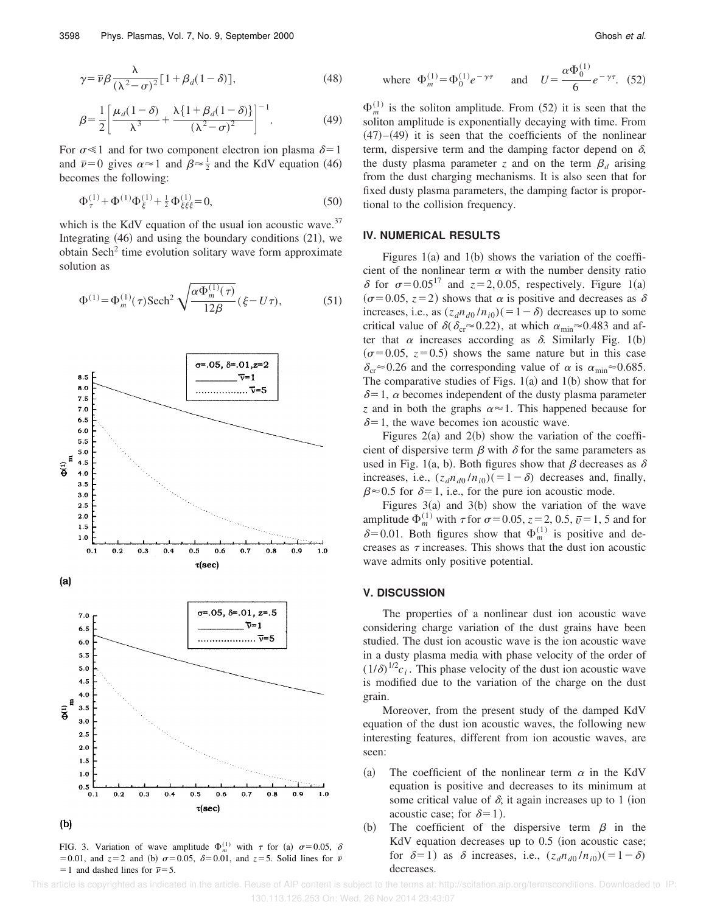$$
\gamma = \bar{\nu}\beta \frac{\lambda}{(\lambda^2 - \sigma)^2} [1 + \beta_d (1 - \delta)], \qquad (48)
$$

$$
\beta = \frac{1}{2} \left[ \frac{\mu_d (1 - \delta)}{\lambda^3} + \frac{\lambda \{ 1 + \beta_d (1 - \delta) \}}{(\lambda^2 - \sigma)^2} \right]^{-1}.
$$
 (49)

For  $\sigma \ll 1$  and for two component electron ion plasma  $\delta = 1$ and  $\bar{\nu}=0$  gives  $\alpha \approx 1$  and  $\beta \approx \frac{1}{2}$  and the KdV equation (46) becomes the following:

$$
\Phi_{\tau}^{(1)} + \Phi_{\tau}^{(1)}\Phi_{\xi}^{(1)} + \frac{1}{2}\Phi_{\xi\xi\xi}^{(1)} = 0,\tag{50}
$$

which is the KdV equation of the usual ion acoustic wave.<sup>37</sup> Integrating  $(46)$  and using the boundary conditions  $(21)$ , we obtain Sech<sup>2</sup> time evolution solitary wave form approximate solution as

$$
\Phi^{(1)} = \Phi_m^{(1)}(\tau) \text{Sech}^2 \sqrt{\frac{\alpha \Phi_m^{(1)}(\tau)}{12\beta}} (\xi - U\tau), \tag{51}
$$



FIG. 3. Variation of wave amplitude  $\Phi_m^{(1)}$  with  $\tau$  for (a)  $\sigma = 0.05$ ,  $\delta$  $=0.01$ , and  $z=2$  and (b)  $\sigma=0.05$ ,  $\delta=0.01$ , and  $z=5$ . Solid lines for  $\bar{\nu}$  $=$  1 and dashed lines for  $\bar{v}$ = 5.

where 
$$
\Phi_m^{(1)} = \Phi_0^{(1)} e^{-\gamma \tau}
$$
 and  $U = \frac{\alpha \Phi_0^{(1)}}{6} e^{-\gamma \tau}$ . (52)

 $\Phi_m^{(1)}$  is the soliton amplitude. From (52) it is seen that the soliton amplitude is exponentially decaying with time. From  $(47)$ – $(49)$  it is seen that the coefficients of the nonlinear term, dispersive term and the damping factor depend on  $\delta$ , the dusty plasma parameter *z* and on the term  $\beta_d$  arising from the dust charging mechanisms. It is also seen that for fixed dusty plasma parameters, the damping factor is proportional to the collision frequency.

#### **IV. NUMERICAL RESULTS**

Figures  $1(a)$  and  $1(b)$  shows the variation of the coefficient of the nonlinear term  $\alpha$  with the number density ratio  $\delta$  for  $\sigma$ =0.05<sup>17</sup> and *z*=2, 0.05, respectively. Figure 1(a)  $(\sigma=0.05, z=2)$  shows that  $\alpha$  is positive and decreases as  $\delta$ increases, i.e., as  $(z_d n_{d0}/n_{i0})$  (= 1 –  $\delta$ ) decreases up to some critical value of  $\delta(\delta_{cr} \approx 0.22)$ , at which  $\alpha_{min} \approx 0.483$  and after that  $\alpha$  increases according as  $\delta$ . Similarly Fig. 1(b)  $(\sigma = 0.05, z = 0.5)$  shows the same nature but in this case  $\delta_{\rm cr} \approx 0.26$  and the corresponding value of  $\alpha$  is  $\alpha_{\rm min} \approx 0.685$ . The comparative studies of Figs.  $1(a)$  and  $1(b)$  show that for  $\delta$ =1,  $\alpha$  becomes independent of the dusty plasma parameter *z* and in both the graphs  $\alpha \approx 1$ . This happened because for  $\delta$ =1, the wave becomes ion acoustic wave.

Figures  $2(a)$  and  $2(b)$  show the variation of the coefficient of dispersive term  $\beta$  with  $\delta$  for the same parameters as used in Fig. 1(a, b). Both figures show that  $\beta$  decreases as  $\delta$ increases, i.e.,  $(z_d n_{d0}/n_{i0})$  (= 1 –  $\delta$ ) decreases and, finally,  $\beta \approx 0.5$  for  $\delta = 1$ , i.e., for the pure ion acoustic mode.

Figures  $3(a)$  and  $3(b)$  show the variation of the wave amplitude  $\Phi_m^{(1)}$  with  $\tau$  for  $\sigma$  = 0.05,  $z$  = 2, 0.5,  $\bar{v}$  = 1, 5 and for  $\delta$ =0.01. Both figures show that  $\Phi_m^{(1)}$  is positive and decreases as  $\tau$  increases. This shows that the dust ion acoustic wave admits only positive potential.

#### **V. DISCUSSION**

The properties of a nonlinear dust ion acoustic wave considering charge variation of the dust grains have been studied. The dust ion acoustic wave is the ion acoustic wave in a dusty plasma media with phase velocity of the order of  $(1/\delta)^{1/2}c_i$ . This phase velocity of the dust ion acoustic wave is modified due to the variation of the charge on the dust grain.

Moreover, from the present study of the damped KdV equation of the dust ion acoustic waves, the following new interesting features, different from ion acoustic waves, are seen:

- (a) The coefficient of the nonlinear term  $\alpha$  in the KdV equation is positive and decreases to its minimum at some critical value of  $\delta$ ; it again increases up to 1 (ion acoustic case; for  $\delta=1$ ).
- (b) The coefficient of the dispersive term  $\beta$  in the KdV equation decreases up to  $0.5$  (ion acoustic case; for  $\delta=1$ ) as  $\delta$  increases, i.e.,  $(z_d n_{d0}/n_{i0}) (=1-\delta)$ decreases.